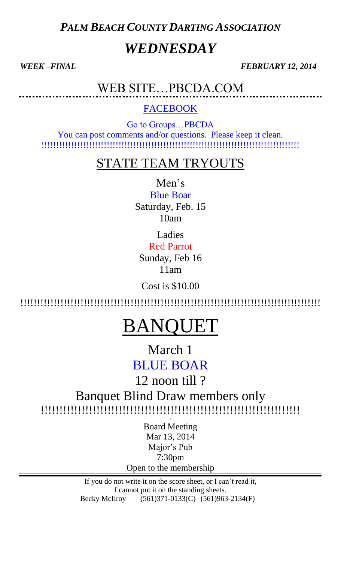*PALM BEACH COUNTY DARTING ASSOCIATION*

# *WEDNESDAY*

*WEEK –FINAL FEBRUARY 12, 2014* 

WEB SITE…PBCDA.COM

## FACEBOOK

Go to Groups…PBCDA You can post comments and/or questions. Please keep it clean. !!!!!!!!!!!!!!!!!!!!!!!!!!!!!!!!!!!!!!!!!!!!!!!!!!!!!!!!!!!!!!!!!!!!!!!!!!!!!!!!!!!!!!!

## STATE TEAM TRYOUTS

Men's Blue Boar

Saturday, Feb. 15 10am

Ladies

Red Parrot Sunday, Feb 16 11am

Cost is \$10.00

!!!!!!!!!!!!!!!!!!!!!!!!!!!!!!!!!!!!!!!!!!!!!!!!!!!!!!!!!!!!!!!!!!!!!!!!!!!!!!!!!!!!!!!!!!

# BANQUET

March 1 BLUE BOAR

12 noon till ?

Banquet Blind Draw members only !!!!!!!!!!!!!!!!!!!!!!!!!!!!!!!!!!!!!!!!!!!!!!!!!!!!!!!!!!!!!!!!!!!!!!

\

Board Meeting Mar 13, 2014 Major's Pub 7:30pm Open to the membership

If you do not write it on the score sheet, or I can't read it, I cannot put it on the standing sheets. Becky McIlroy (561)371-0133(C) (561)963-2134(F)